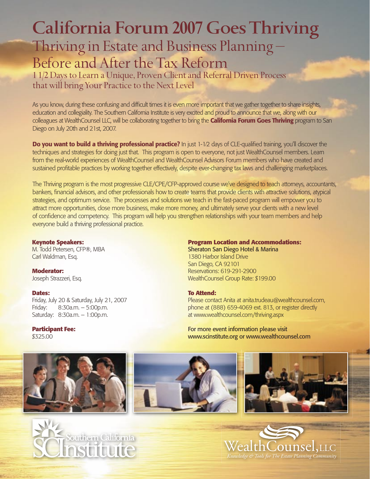# **California Forum 2007 Goes Thriving** Thriving in Estate and Business Planning –

## Before and After the Tax Reform

1 1/2 Days to Learn a Unique, Proven Client and Referral Driven Process that will bring Your Practice to the Next Level

As you know, during these confusing and difficult times it is even more important that we gather together to share insights, education and collegiality. The Southern California Institute is very excited and proud to announce that we, along with our colleagues at WealthCounsel LLC, will be collaborating together to bring the **California Forum Goes Thriving** program to San Diego on July 20th and 21st, 2007.

**Do you want to build a thriving professional practice?** In just 1-1/2 days of CLE-qualified training, you'll discover the techniques and strategies for doing just that. This program is open to everyone, not just WealthCounsel members. Learn from the real-world experiences of WealthCounsel and WealthCounsel Advisors Forum members who have created and sustained profitable practices by working together effectively, despite ever-changing tax laws and challenging marketplaces.

The Thriving program is the most progressive CLE/CPE/CFP-approved course we've designed to teach attorneys, accountants, bankers, financial advisors, and other professionals how to create teams that provide clients with attractive solutions, atypical strategies, and optimum service. The processes and solutions we teach in the fast-paced program will empower you to attract more opportunities, close more business, make more money, and ultimately serve your clients with a new level of confidence and competency. This program will help you strengthen relationships with your team members and help everyone build a thriving professional practice.

#### **Keynote Speakers:**

M. Todd Petersen, CFP®, MBA Carl Waldman, Esq.

**Moderator:** Joseph Strazzeri, Esq.

#### **Dates:**

Friday, July 20 & Saturday, July 21, 2007 Friday: 8:30a.m. – 5:00p.m. Saturday: 8:30a.m. – 1:00p.m.

### **Participant Fee:**

\$325.00

#### **Program Location and Accommodations:**

Sheraton San Diego Hotel & Marina 1380 Harbor Island Drive San Diego, CA 92101 Reservations: 619-291-2900 WealthCounsel Group Rate: \$199.00

#### **To Attend:**

Please contact Anita at anita.trudeau@wealthcounsel.com, phone at (888) 659-4069 ext. 813, or register directly at www.wealthcounsel.com/thriving.aspx

For more event information please visit www.scinstitute.org or www.wealthcounsel.com